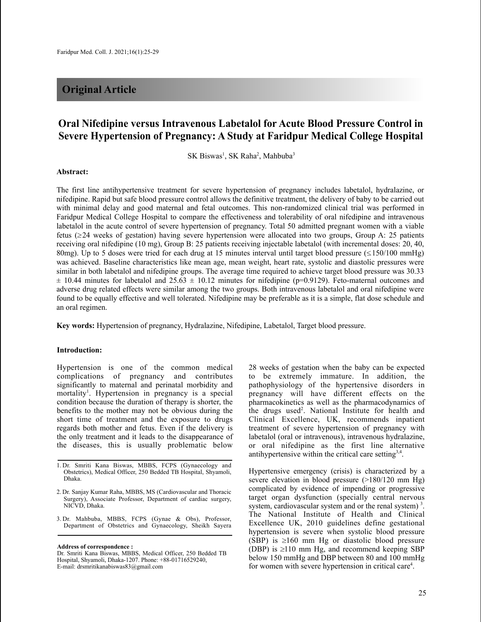# **Original Article**

# **Oral Nifedipine versus Intravenous Labetalol for Acute Blood Pressure Control in Severe Hypertension of Pregnancy: A Study at Faridpur Medical College Hospital**

SK Biswas<sup>1</sup>, SK Raha<sup>2</sup>, Mahbuba<sup>3</sup>

#### **Abstract:**

The first line antihypertensive treatment for severe hypertension of pregnancy includes labetalol, hydralazine, or nifedipine. Rapid but safe blood pressure control allows the definitive treatment, the delivery of baby to be carried out with minimal delay and good maternal and fetal outcomes. This non-randomized clinical trial was performed in Faridpur Medical College Hospital to compare the effectiveness and tolerability of oral nifedipine and intravenous labetalol in the acute control of severe hypertension of pregnancy. Total 50 admitted pregnant women with a viable fetus  $(\geq 24$  weeks of gestation) having severe hypertension were allocated into two groups, Group A: 25 patients receiving oral nifedipine (10 mg), Group B: 25 patients receiving injectable labetalol (with incremental doses: 20, 40, 80mg). Up to 5 doses were tried for each drug at 15 minutes interval until target blood pressure  $(\leq 150/100 \text{ mmHg})$ was achieved. Baseline characteristics like mean age, mean weight, heart rate, systolic and diastolic pressures were similar in both labetalol and nifedipine groups. The average time required to achieve target blood pressure was 30.33  $\pm$  10.44 minutes for labetalol and 25.63  $\pm$  10.12 minutes for nifedipine (p=0.9129). Feto-maternal outcomes and adverse drug related effects were similar among the two groups. Both intravenous labetalol and oral nifedipine were found to be equally effective and well tolerated. Nifedipine may be preferable as it is a simple, flat dose schedule and an oral regimen.

**Key words:** Hypertension of pregnancy, Hydralazine, Nifedipine, Labetalol, Target blood pressure.

#### **Introduction:**

Hypertension is one of the common medical complications of pregnancy and contributes significantly to maternal and perinatal morbidity and mortality<sup>1</sup>. Hypertension in pregnancy is a special condition because the duration of therapy is shorter, the benefits to the mother may not be obvious during the short time of treatment and the exposure to drugs regards both mother and fetus. Even if the delivery is the only treatment and it leads to the disappearance of the diseases, this is usually problematic below

3. Dr. Mahbuba, MBBS, FCPS (Gynae & Obs), Professor, Department of Obstetrics and Gynaecology, Sheikh Sayera

**Address of correspondence :**

Dr. Smriti Kana Biswas, MBBS, Medical Officer, 250 Bedded TB Hospital, Shyamoli, Dhaka-1207. Phone: +88-01716529240, E-mail: drsmritikanabiswas83@gmail.com

28 weeks of gestation when the baby can be expected to be extremely immature. In addition, the pathophysiology of the hypertensive disorders in pregnancy will have different effects on the pharmacokinetics as well as the pharmacodynamics of the drugs used<sup>2</sup>. National Institute for health and Clinical Excellence, UK, recommends inpatient treatment of severe hypertension of pregnancy with labetalol (oral or intravenous), intravenous hydralazine, or oral nifedipine as the first line alternative antihypertensive within the critical care setting<sup>3,4</sup>.

Hypertensive emergency (crisis) is characterized by a severe elevation in blood pressure (>180/120 mm Hg) complicated by evidence of impending or progressive target organ dysfunction (specially central nervous system, cardiovascular system and or the renal system)<sup>3</sup>. The National Institute of Health and Clinical Excellence UK, 2010 guidelines define gestational hypertension is severe when systolic blood pressure (SBP) is  $\geq 160$  mm Hg or diastolic blood pressure (DBP) is  $\geq$ 110 mm Hg, and recommend keeping SBP below 150 mmHg and DBP between 80 and 100 mmHg for women with severe hypertension in critical care<sup>4</sup>.

<sup>1.</sup> Dr. Smriti Kana Biswas, MBBS, FCPS (Gynaecology and Obstetrics), Medical Officer, 250 Bedded TB Hospital, Shyamoli, Dhaka.

<sup>2.</sup> Dr. Sanjay Kumar Raha, MBBS, MS (Cardiovascular and Thoracic Surgery), Associate Professor, Department of cardiac surgery, NICVD, Dhaka.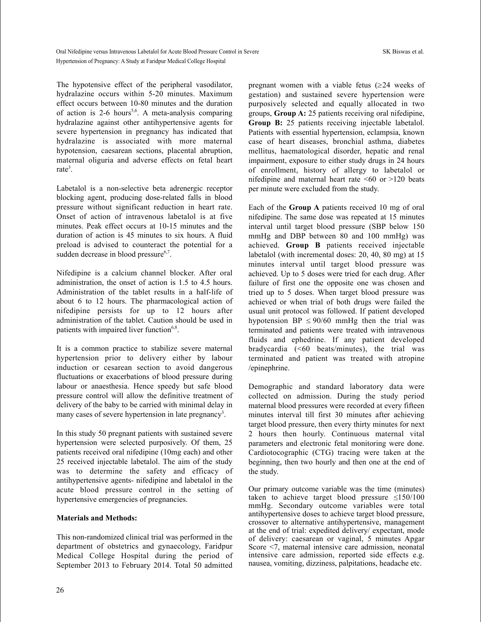The hypotensive effect of the peripheral vasodilator, hydralazine occurs within 5-20 minutes. Maximum effect occurs between 10-80 minutes and the duration of action is 2-6 hours<sup>5,6</sup>. A meta-analysis comparing hydralazine against other antihypertensive agents for severe hypertension in pregnancy has indicated that hydralazine is associated with more maternal hypotension, caesarean sections, placental abruption, maternal oliguria and adverse effects on fetal heart rate<sup>3</sup>.

Labetalol is a non-selective beta adrenergic receptor blocking agent, producing dose-related falls in blood pressure without significant reduction in heart rate. Onset of action of intravenous labetalol is at five minutes. Peak effect occurs at 10-15 minutes and the duration of action is 45 minutes to six hours. A fluid preload is advised to counteract the potential for a sudden decrease in blood pressure<sup>6,7</sup>.

Nifedipine is a calcium channel blocker. After oral administration, the onset of action is 1.5 to 4.5 hours. Administration of the tablet results in a half-life of about 6 to 12 hours. The pharmacological action of nifedipine persists for up to 12 hours after administration of the tablet. Caution should be used in patients with impaired liver function<sup>6,8</sup>.

It is a common practice to stabilize severe maternal hypertension prior to delivery either by labour induction or cesarean section to avoid dangerous fluctuations or exacerbations of blood pressure during labour or anaesthesia. Hence speedy but safe blood pressure control will allow the definitive treatment of delivery of the baby to be carried with minimal delay in many cases of severe hypertension in late pregnancy<sup>3</sup>.

In this study 50 pregnant patients with sustained severe hypertension were selected purposively. Of them, 25 patients received oral nifedipine (10mg each) and other 25 received injectable labetalol. The aim of the study was to determine the safety and efficacy of antihypertensive agents- nifedipine and labetalol in the acute blood pressure control in the setting of hypertensive emergencies of pregnancies.

## **Materials and Methods:**

This non-randomized clinical trial was performed in the department of obstetrics and gynaecology, Faridpur Medical College Hospital during the period of September 2013 to February 2014. Total 50 admitted

pregnant women with a viable fetus  $(\geq 24$  weeks of gestation) and sustained severe hypertension were purposively selected and equally allocated in two groups, **Group A:** 25 patients receiving oral nifedipine, **Group B:** 25 patients receiving injectable labetalol. Patients with essential hypertension, eclampsia, known case of heart diseases, bronchial asthma, diabetes mellitus, haematological disorder, hepatic and renal impairment, exposure to either study drugs in 24 hours of enrollment, history of allergy to labetalol or nifedipine and maternal heart rate  $\leq 60$  or  $>120$  beats per minute were excluded from the study.

Each of the **Group A** patients received 10 mg of oral nifedipine. The same dose was repeated at 15 minutes interval until target blood pressure (SBP below 150 mmHg and DBP between 80 and 100 mmHg) was achieved. **Group B** patients received injectable labetalol (with incremental doses: 20, 40, 80 mg) at 15 minutes interval until target blood pressure was achieved. Up to 5 doses were tried for each drug. After failure of first one the opposite one was chosen and tried up to 5 doses. When target blood pressure was achieved or when trial of both drugs were failed the usual unit protocol was followed. If patient developed hypotension BP  $\leq$  90/60 mmHg then the trial was terminated and patients were treated with intravenous fluids and ephedrine. If any patient developed bradycardia (<60 beats/minutes), the trial was terminated and patient was treated with atropine /epinephrine.

Demographic and standard laboratory data were collected on admission. During the study period maternal blood pressures were recorded at every fifteen minutes interval till first 30 minutes after achieving target blood pressure, then every thirty minutes for next 2 hours then hourly. Continuous maternal vital parameters and electronic fetal monitoring were done. Cardiotocographic (CTG) tracing were taken at the beginning, then two hourly and then one at the end of the study.

Our primary outcome variable was the time (minutes) taken to achieve target blood pressure  $\leq 150/100$ mmHg. Secondary outcome variables were total antihypertensive doses to achieve target blood pressure, crossover to alternative antihypertensive, management at the end of trial: expedited delivery/ expectant, mode of delivery: caesarean or vaginal, 5 minutes Apgar Score <7, maternal intensive care admission, neonatal intensive care admission, reported side effects e.g. nausea, vomiting, dizziness, palpitations, headache etc.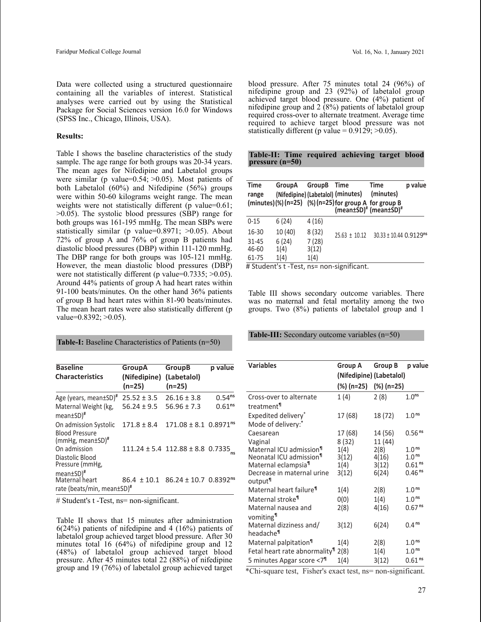Data were collected using a structured questionnaire containing all the variables of interest. Statistical analyses were carried out by using the Statistical Package for Social Sciences version 16.0 for Windows (SPSS Inc., Chicago, Illinois, USA).

#### **Results:**

Table I shows the baseline characteristics of the study sample. The age range for both groups was 20-34 years. The mean ages for Nifedipine and Labetalol groups were similar (p value= $0.54$ ;  $> 0.05$ ). Most patients of both Labetalol (60%) and Nifedipine (56%) groups were within 50-60 kilograms weight range. The mean weights were not statistically different (p value=0.61; >0.05). The systolic blood pressures (SBP) range for both groups was 161-195 mmHg. The mean SBPs were statistically similar (p value= $0.8971$ ;  $>0.05$ ). About 72% of group A and 76% of group B patients had diastolic blood pressures (DBP) within 111-120 mmHg. The DBP range for both groups was 105-121 mmHg. However, the mean diastolic blood pressures (DBP) were not statistically different (p value=0.7335; >0.05). Around 44% patients of group A had heart rates within 91-100 beats/minutes. On the other hand 36% patients of group B had heart rates within 81-90 beats/minutes. The mean heart rates were also statistically different (p value=0.8392; >0.05).

**Table-I:** Baseline Characteristics of Patients (n=50)

| <b>Baseline</b><br><b>Characteristics</b>                                 | <b>GroupA</b><br>(Nifedipine)<br>(n=25) | <b>GroupB</b><br>(Labetalol)<br>$(n=25)$              | p value            |
|---------------------------------------------------------------------------|-----------------------------------------|-------------------------------------------------------|--------------------|
| Age (years, mean±SD) <sup>#</sup>                                         | $25.52 \pm 3.5$                         | $26.16 \pm 3.8$                                       | 0.54 <sup>ns</sup> |
| Maternal Weight (kg,<br>mean±SD)#                                         | $56.24 \pm 9.5$                         | $56.96 \pm 7.3$                                       | 0.61 <sup>ns</sup> |
| On admission Systolic<br><b>Blood Pressure</b><br>$(mmHg, mean \pm SD)^*$ | $171.8 \pm 8.4$                         | $171.08 \pm 8.1$ 0.8971 <sup>ns</sup>                 |                    |
| On admission<br>Diastolic Blood<br>Pressure (mmHg,                        |                                         | $111.24 \pm 5.4$ 112.88 $\pm$ 8.8 0.7335              |                    |
| mean±SD)#<br>Maternal heart<br>rate (beats/min, mean±SD)#                 |                                         | $86.4 \pm 10.1$ $86.24 \pm 10.7$ 0.8392 <sup>ns</sup> |                    |

# Student's t -Test, ns= non-significant.

Table II shows that 15 minutes after administration 6(24%) patients of nifedipine and 4 (16%) patients of labetalol group achieved target blood pressure. After 30 minutes total 16 (64%) of nifedipine group and 12 (48%) of labetalol group achieved target blood pressure. After 45 minutes total 22 (88%) of nifedipine group and 19 (76%) of labetalol group achieved target blood pressure. After 75 minutes total 24 (96%) of nifedipine group and 23 (92%) of labetalol group achieved target blood pressure. One (4%) patient of nifedipine group and 2 (8%) patients of labetalol group required cross-over to alternate treatment. Average time required to achieve target blood pressure was not statistically different (p value =  $0.9129$ ;  $>0.05$ ).

|                   |  | Table-II: Time required achieving target blood |  |
|-------------------|--|------------------------------------------------|--|
| pressure $(n=50)$ |  |                                                |  |

| <b>Time</b><br>range | GroupA<br>(Nifedipine) (Labetalol) (minutes) | <b>GroupB</b> | Time<br>(minutes) $(\%)$ (n=25) $(\%)$ (n=25) for group A for group B | Time<br>(minutes)<br>(mean±SD) <sup>#</sup> (mean±SD) <sup>#</sup> | p value |
|----------------------|----------------------------------------------|---------------|-----------------------------------------------------------------------|--------------------------------------------------------------------|---------|
| $0 - 15$             | 6(24)                                        | 4(16)         |                                                                       |                                                                    |         |
| 16-30                | 10(40)                                       | 8(32)         | $25.63 \pm 10.12$                                                     | $30.33 \pm 10.44$ 0.9129 <sup>ns</sup>                             |         |
| $31 - 45$            | 6(24)                                        | 7(28)         |                                                                       |                                                                    |         |
| 46-60                | 1(4)                                         | 3(12)         |                                                                       |                                                                    |         |
| 61-75                | 1(4)                                         | 1(4)          |                                                                       |                                                                    |         |
|                      |                                              |               | # Student's t -Test, ns= non-significant.                             |                                                                    |         |

Table III shows secondary outcome variables. There was no maternal and fetal mortality among the two groups. Two (8%) patients of labetalol group and 1

**Table-III:** Secondary outcome variables (n=50)

| <b>Variables</b>                                  | <b>Group A</b><br>(Nifedipine) (Labetalol) | Group B    | p value                      |
|---------------------------------------------------|--------------------------------------------|------------|------------------------------|
|                                                   | (%) (n=25)                                 | (%) (n=25) |                              |
| Cross-over to alternate<br>treatment <sup>¶</sup> | 1(4)                                       | 2(8)       | 1.0 <sup>ns</sup>            |
| Expedited delivery*<br>Mode of delivery:*         | 17 (68)                                    | 18 (72)    | 1.0 <sup>ns</sup>            |
| Caesarean                                         | 17 (68)                                    | 14 (56)    | $0.56$ <sup>ns</sup>         |
| Vaginal                                           | 8(32)                                      | 11 (44)    |                              |
| Maternal ICU admission <sup>11</sup>              | 1(4)                                       | 2(8)       | 1.0 <sup>ns</sup>            |
| Neonatal ICU admission <sup>1</sup>               | 3(12)                                      | 4(16)      | 1.0 <sup>ns</sup>            |
| Maternal eclampsia <sup>¶</sup>                   | 1(4)                                       | 3(12)      | 0.61 <sup>ns</sup>           |
| Decrease in maternal urine<br>output <sup>¶</sup> | 3(12)                                      | 6(24)      | $0.46$ <sup>ns</sup>         |
| Maternal heart failure <sup>¶</sup>               | 1(4)                                       | 2(8)       | 1.0 <sup>ns</sup>            |
| Maternal stroke <sup>¶</sup>                      | 0(0)                                       | 1(4)       | 1.0 <sup>ns</sup>            |
| Maternal nausea and<br>vomiting <sup>¶</sup>      | 2(8)                                       | 4(16)      | 0.67 <sup>ns</sup>           |
| Maternal dizziness and/<br>headache¶              | 3(12)                                      | 6(24)      | 0.4 <sup>ns</sup>            |
| Maternal palpitation <sup>¶</sup>                 | 1(4)                                       | 2(8)       | 1.0 <sup>ns</sup>            |
| Fetal heart rate abnormality <sup>1</sup>         | 2(8)                                       | 1(4)       | 1.0 <sup>ns</sup>            |
| 5 minutes Apgar score <7 <sup>1</sup>             | 1(4)                                       | 3(12)      | 0.61 <sup>ns</sup><br>$\sim$ |

\*Chi-square test, Fisher's exact test, ns= non-significant.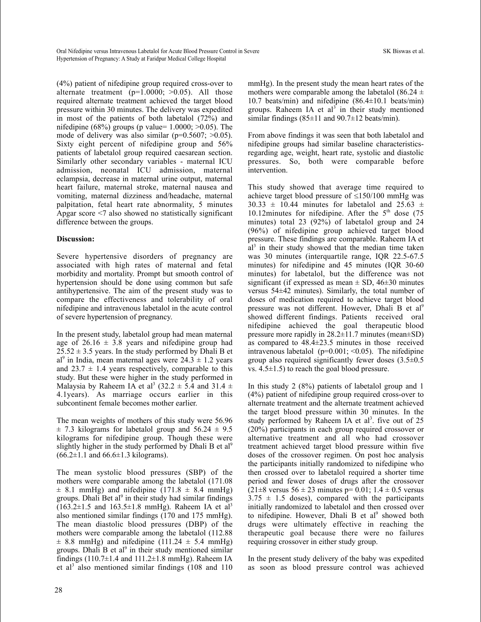Oral Nifedipine versus Intravenous Labetalol for Acute Blood Pressure Control in Severe SK Biswas et al. Hypertension of Pregnancy: A Study at Faridpur Medical College Hospital

(4%) patient of nifedipine group required cross-over to alternate treatment  $(p=1.0000; >0.05)$ . All those required alternate treatment achieved the target blood pressure within 30 minutes. The delivery was expedited in most of the patients of both labetalol (72%) and nifedipine (68%) groups (p value=  $1.0000$ ;  $>0.05$ ). The mode of delivery was also similar ( $p=0.5607$ ;  $>0.05$ ). Sixty eight percent of nifedipine group and 56% patients of labetalol group required caesarean section. Similarly other secondary variables - maternal ICU admission, neonatal ICU admission, maternal eclampsia, decrease in maternal urine output, maternal heart failure, maternal stroke, maternal nausea and vomiting, maternal dizziness and/headache, maternal palpitation, fetal heart rate abnormality, 5 minutes Apgar score <7 also showed no statistically significant difference between the groups.

### **Discussion:**

Severe hypertensive disorders of pregnancy are associated with high rates of maternal and fetal morbidity and mortality. Prompt but smooth control of hypertension should be done using common but safe antihypertensive. The aim of the present study was to compare the effectiveness and tolerability of oral nifedipine and intravenous labetalol in the acute control of severe hypertension of pregnancy.

In the present study, labetalol group had mean maternal age of  $26.16 \pm 3.8$  years and nifedipine group had  $25.52 \pm 3.5$  years. In the study performed by Dhali B et al<sup>9</sup> in India, mean maternal ages were  $24.3 \pm 1.2$  years and  $23.7 \pm 1.4$  years respectively, comparable to this study. But these were higher in the study performed in Malaysia by Raheem IA et al<sup>3</sup> (32.2  $\pm$  5.4 and 31.4  $\pm$ 4.1years). As marriage occurs earlier in this subcontinent female becomes mother earlier.

The mean weights of mothers of this study were 56.96  $\pm$  7.3 kilograms for labetalol group and 56.24  $\pm$  9.5 kilograms for nifedipine group. Though these were slightly higher in the study performed by Dhali B et al<sup>9</sup>  $(66.2 \pm 1.1 \text{ and } 66.6 \pm 1.3 \text{ kilograms}).$ 

The mean systolic blood pressures (SBP) of the mothers were comparable among the labetalol (171.08  $\pm$  8.1 mmHg) and nifedipine (171.8  $\pm$  8.4 mmHg) groups. Dhali Bet al<sup>9</sup> in their study had similar findings  $(163.2 \pm 1.5 \text{ and } 163.5 \pm 1.8 \text{ mmHg})$ . Raheem IA et al<sup>3</sup> also mentioned similar findings (170 and 175 mmHg). The mean diastolic blood pressures (DBP) of the mothers were comparable among the labetalol (112.88  $\pm$  8.8 mmHg) and nifedipine (111.24  $\pm$  5.4 mmHg) groups. Dhali B et al<sup>9</sup> in their study mentioned similar findings (110.7 $\pm$ 1.4 and 111.2 $\pm$ 1.8 mmHg). Raheem IA et al <sup>3</sup> also mentioned similar findings (108 and 110

mmHg). In the present study the mean heart rates of the mothers were comparable among the labetalol (86.24  $\pm$ 10.7 beats/min) and nifedipine (86.4±10.1 beats/min) groups. Raheem IA et al<sup>3</sup> in their study mentioned similar findings  $(85\pm11$  and  $90.7\pm12$  beats/min).

From above findings it was seen that both labetalol and nifedipine groups had similar baseline characteristicsregarding age, weight, heart rate, systolic and diastolic pressures. So, both were comparable before intervention.

This study showed that average time required to achieve target blood pressure of  $\leq$ 150/100 mmHg was 30.33  $\pm$  10.44 minutes for labetalol and 25.63  $\pm$ 10.12minutes for nifedipine. After the  $5<sup>th</sup>$  dose (75) minutes) total 23 (92%) of labetalol group and 24 (96%) of nifedipine group achieved target blood pressure. These findings are comparable. Raheem IA et al<sup>3</sup> in their study showed that the median time taken was 30 minutes (interquartile range, IQR 22.5-67.5 minutes) for nifedipine and 45 minutes (IQR 30-60 minutes) for labetalol, but the difference was not significant (if expressed as mean  $\pm$  SD, 46 $\pm$ 30 minutes versus 54±42 minutes). Similarly, the total number of doses of medication required to achieve target blood pressure was not different. However, Dhali B et al<sup>9</sup> showed different findings. Patients received oral nifedipine achieved the goal therapeutic blood pressure more rapidly in 28.2±11.7 minutes (mean±SD) as compared to 48.4±23.5 minutes in those received intravenous labetalol ( $p=0.001$ ; <0.05). The nifedipine group also required significantly fewer doses  $(3.5\pm0.5$ vs.  $4.5\pm1.5$ ) to reach the goal blood pressure.

In this study 2 (8%) patients of labetalol group and 1 (4%) patient of nifedipine group required cross-over to alternate treatment and the alternate treatment achieved the target blood pressure within 30 minutes. In the study performed by Raheem IA et al<sup>3</sup>. five out of 25 (20%) participants in each group required crossover or alternative treatment and all who had crossover treatment achieved target blood pressure within five doses of the crossover regimen. On post hoc analysis the participants initially randomized to nifedipine who then crossed over to labetalol required a shorter time period and fewer doses of drugs after the crossover  $(21\pm 8 \text{ versus } 56 \pm 23 \text{ minutes } p= 0.01; 1.4 \pm 0.5 \text{ versus }$  $3.75 \pm 1.5$  doses), compared with the participants initially randomized to labetalol and then crossed over to nifedipine. However, Dhali B et al<sup>9</sup> showed both drugs were ultimately effective in reaching the therapeutic goal because there were no failures requiring crossover in either study group.

In the present study delivery of the baby was expedited as soon as blood pressure control was achieved